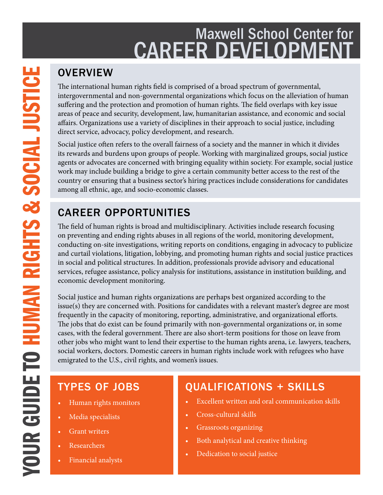## Maxwell School Center for CAREER DEVELOPMENT

## **OVERVIEW**

The international human rights field is comprised of a broad spectrum of governmental, intergovernmental and non-governmental organizations which focus on the alleviation of human suffering and the protection and promotion of human rights. The field overlaps with key issue areas of peace and security, development, law, humanitarian assistance, and economic and social affairs. Organizations use a variety of disciplines in their approach to social justice, including direct service, advocacy, policy development, and research.

Social justice often refers to the overall fairness of a society and the manner in which it divides its rewards and burdens upon groups of people. Working with marginalized groups, social justice agents or advocates are concerned with bringing equality within society. For example, social justice work may include building a bridge to give a certain community better access to the rest of the country or ensuring that a business sector's hiring practices include considerations for candidates among all ethnic, age, and socio-economic classes.

## CAREER OPPORTUNITIES

The field of human rights is broad and multidisciplinary. Activities include research focusing on preventing and ending rights abuses in all regions of the world, monitoring development, conducting on-site investigations, writing reports on conditions, engaging in advocacy to publicize and curtail violations, litigation, lobbying, and promoting human rights and social justice practices in social and political structures. In addition, professionals provide advisory and educational services, refugee assistance, policy analysis for institutions, assistance in institution building, and economic development monitoring.

Social justice and human rights organizations are perhaps best organized according to the issue(s) they are concerned with. Positions for candidates with a relevant master's degree are most frequently in the capacity of monitoring, reporting, administrative, and organizational efforts. The jobs that do exist can be found primarily with non-governmental organizations or, in some cases, with the federal government. There are also short-term positions for those on leave from other jobs who might want to lend their expertise to the human rights arena, i.e. lawyers, teachers, social workers, doctors. Domestic careers in human rights include work with refugees who have emigrated to the U.S., civil rights, and women's issues.

## TYPES OF JOBS

- Human rights monitors
- Media specialists
- Grant writers
- Researchers
- Financial analysts

## QUALIFICATIONS + SKILLS

- Excellent written and oral communication skills
- Cross-cultural skills
- Grassroots organizing
- Both analytical and creative thinking
- Dedication to social justice